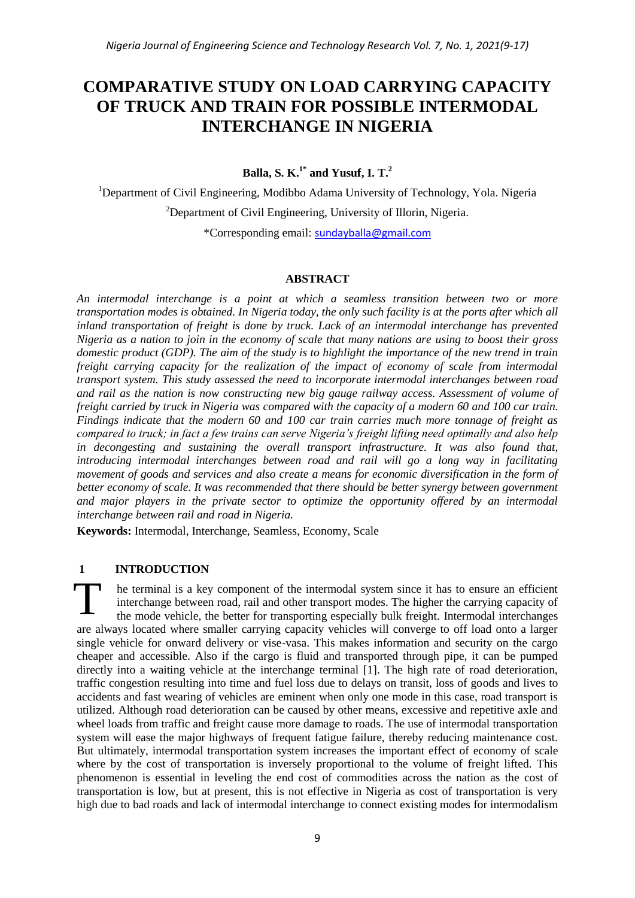# **COMPARATIVE STUDY ON LOAD CARRYING CAPACITY OF TRUCK AND TRAIN FOR POSSIBLE INTERMODAL INTERCHANGE IN NIGERIA**

**Balla, S. K.1\* and Yusuf, I. T.<sup>2</sup>**

<sup>1</sup>Department of Civil Engineering, Modibbo Adama University of Technology, Yola. Nigeria <sup>2</sup>Department of Civil Engineering, University of Illorin, Nigeria. \*Corresponding email: [sundayballa@gmail.com](mailto:sundayballa@gmail.com)

## **ABSTRACT**

*An intermodal interchange is a point at which a seamless transition between two or more transportation modes is obtained. In Nigeria today, the only such facility is at the ports after which all inland transportation of freight is done by truck. Lack of an intermodal interchange has prevented Nigeria as a nation to join in the economy of scale that many nations are using to boost their gross domestic product (GDP). The aim of the study is to highlight the importance of the new trend in train freight carrying capacity for the realization of the impact of economy of scale from intermodal transport system. This study assessed the need to incorporate intermodal interchanges between road and rail as the nation is now constructing new big gauge railway access. Assessment of volume of freight carried by truck in Nigeria was compared with the capacity of a modern 60 and 100 car train. Findings indicate that the modern 60 and 100 car train carries much more tonnage of freight as compared to truck; in fact a few trains can serve Nigeria's freight lifting need optimally and also help in decongesting and sustaining the overall transport infrastructure. It was also found that, introducing intermodal interchanges between road and rail will go a long way in facilitating movement of goods and services and also create a means for economic diversification in the form of better economy of scale. It was recommended that there should be better synergy between government and major players in the private sector to optimize the opportunity offered by an intermodal interchange between rail and road in Nigeria.*

**Keywords:** Intermodal, Interchange, Seamless, Economy, Scale

## **1 INTRODUCTION**

he terminal is a key component of the intermodal system since it has to ensure an efficient interchange between road, rail and other transport modes. The higher the carrying capacity of the mode vehicle, the better for transporting especially bulk freight. Intermodal interchanges are always located where smaller carrying capacity vehicles will converge to off load onto a larger single vehicle for onward delivery or vise-vasa. This makes information and security on the cargo cheaper and accessible. Also if the cargo is fluid and transported through pipe, it can be pumped directly into a waiting vehicle at the interchange terminal [1]. The high rate of road deterioration, traffic congestion resulting into time and fuel loss due to delays on transit, loss of goods and lives to accidents and fast wearing of vehicles are eminent when only one mode in this case, road transport is utilized. Although road deterioration can be caused by other means, excessive and repetitive axle and wheel loads from traffic and freight cause more damage to roads. The use of intermodal transportation system will ease the major highways of frequent fatigue failure, thereby reducing maintenance cost. But ultimately, intermodal transportation system increases the important effect of economy of scale where by the cost of transportation is inversely proportional to the volume of freight lifted. This phenomenon is essential in leveling the end cost of commodities across the nation as the cost of transportation is low, but at present, this is not effective in Nigeria as cost of transportation is very high due to bad roads and lack of intermodal interchange to connect existing modes for intermodalism T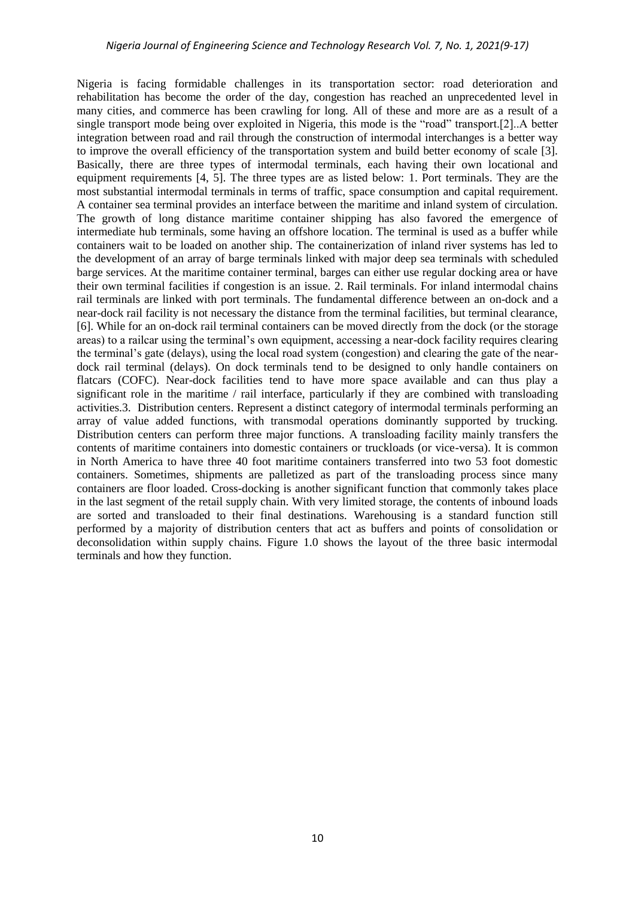Nigeria is facing formidable challenges in its transportation sector: road deterioration and rehabilitation has become the order of the day, congestion has reached an unprecedented level in many cities, and commerce has been crawling for long. All of these and more are as a result of a single transport mode being over exploited in Nigeria, this mode is the "road" transport.[2]..A better integration between road and rail through the construction of intermodal interchanges is a better way to improve the overall efficiency of the transportation system and build better economy of scale [3]. Basically, there are three types of intermodal terminals, each having their own locational and equipment requirements [4, 5]. The three types are as listed below: 1. Port terminals. They are the most substantial intermodal terminals in terms of traffic, space consumption and capital requirement. A container sea terminal provides an interface between the maritime and inland system of circulation. The growth of long distance maritime container shipping has also favored the emergence of intermediate hub terminals, some having an offshore location. The terminal is used as a buffer while containers wait to be loaded on another ship. The containerization of inland river systems has led to the development of an array of barge terminals linked with major deep sea terminals with scheduled barge services. At the maritime container terminal, barges can either use regular docking area or have their own terminal facilities if congestion is an issue. 2. Rail terminals. For inland intermodal chains rail terminals are linked with port terminals. The fundamental difference between an on-dock and a near-dock rail facility is not necessary the distance from the terminal facilities, but terminal clearance, [6]. While for an on-dock rail terminal containers can be moved directly from the dock (or the storage areas) to a railcar using the terminal's own equipment, accessing a near-dock facility requires clearing the terminal's gate (delays), using the local road system (congestion) and clearing the gate of the neardock rail terminal (delays). On dock terminals tend to be designed to only handle containers on flatcars (COFC). Near-dock facilities tend to have more space available and can thus play a significant role in the maritime / rail interface, particularly if they are combined with transloading activities.3. Distribution centers. Represent a distinct category of intermodal terminals performing an array of value added functions, with transmodal operations dominantly supported by trucking. Distribution centers can perform three major functions. A transloading facility mainly transfers the contents of maritime containers into domestic containers or truckloads (or vice-versa). It is common in North America to have three 40 foot maritime containers transferred into two 53 foot domestic containers. Sometimes, shipments are palletized as part of the transloading process since many containers are floor loaded. [Cross-docking](https://transportgeography.org/?page_id=4453) is another significant function that commonly takes place in the last segment of the retail supply chain. With very limited storage, the contents of inbound loads are sorted and transloaded to their final destinations. Warehousing is a standard function still performed by a majority of distribution centers that act as buffers and points of consolidation or deconsolidation within supply chains. Figure 1.0 shows the layout of the three basic intermodal terminals and how they function.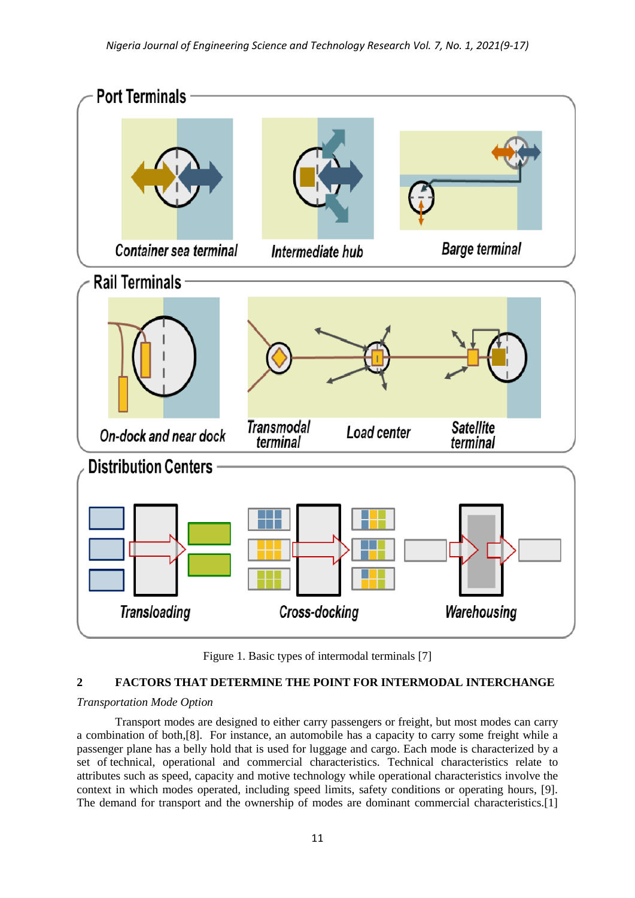

Figure 1. Basic types of intermodal terminals [7]

# **2 FACTORS THAT DETERMINE THE POINT FOR INTERMODAL INTERCHANGE**

#### *Transportation Mode Option*

Transport modes are designed to either carry [passengers](https://transportgeography.org/?page_id=1738) or [freight,](https://transportgeography.org/?page_id=1742) but most modes can carry a combination of both,[8]. For instance, an automobile has a capacity to carry some freight while a passenger plane has a belly hold that is used for luggage and cargo. Each mode is characterized by a set of [technical, operational and commercial characteristics.](https://transportgeography.org/?page_id=1748) Technical characteristics relate to attributes such as speed, capacity and motive technology while operational characteristics involve the context in which modes operated, including speed limits, safety conditions or operating hours, [9]. The demand for transport and the ownership of modes are dominant commercial characteristics.[1]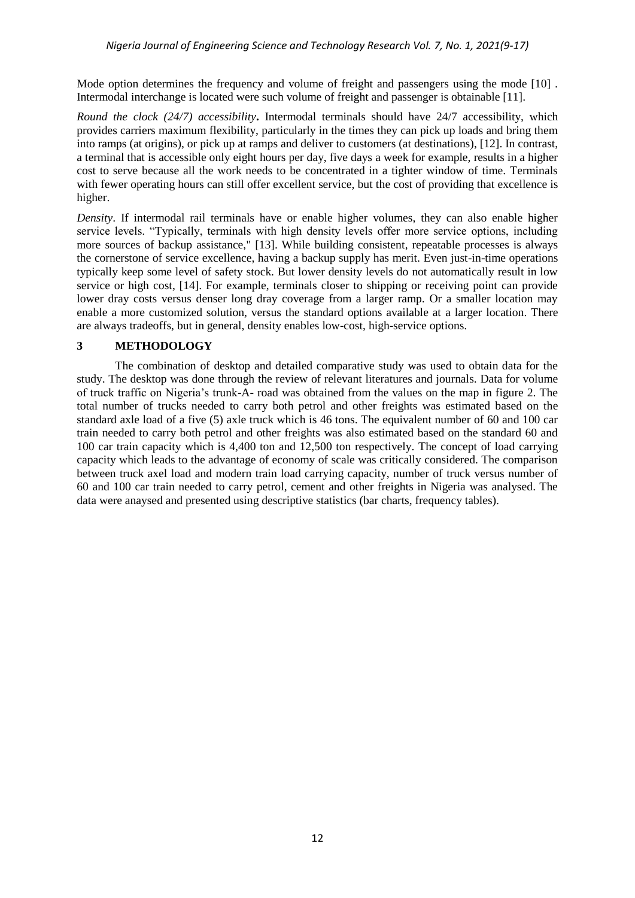Mode option determines the frequency and volume of freight and passengers using the mode [10]. Intermodal interchange is located were such volume of freight and passenger is obtainable [11].

*Round the clock (24/7) accessibility***.** Intermodal terminals should have 24/7 accessibility, which provides carriers maximum flexibility, particularly in the times they can pick up loads and bring them into ramps (at origins), or pick up at ramps and deliver to customers (at destinations), [12]. In contrast, a terminal that is accessible only eight hours per day, five days a week for example, results in a higher cost to serve because all the work needs to be concentrated in a tighter window of time. Terminals with fewer operating hours can still offer excellent service, but the cost of providing that excellence is higher.

*Density*. If intermodal rail terminals have or enable higher volumes, they can also enable higher service levels. "Typically, terminals with high density levels offer more service options, including more sources of backup assistance," [13]. While building consistent, repeatable processes is always the cornerstone of service excellence, having a backup supply has merit. Even just-in-time operations typically keep some level of safety stock. But lower density levels do not automatically result in low service or high cost, [14]. For example, terminals closer to shipping or receiving point can provide lower dray costs versus denser long dray coverage from a larger ramp. Or a smaller location may enable a more customized solution, versus the standard options available at a larger location. There are always tradeoffs, but in general, density enables low-cost, high-service options.

## **3 METHODOLOGY**

The combination of desktop and detailed comparative study was used to obtain data for the study. The desktop was done through the review of relevant literatures and journals. Data for volume of truck traffic on Nigeria's trunk-A- road was obtained from the values on the map in figure 2. The total number of trucks needed to carry both petrol and other freights was estimated based on the standard axle load of a five (5) axle truck which is 46 tons. The equivalent number of 60 and 100 car train needed to carry both petrol and other freights was also estimated based on the standard 60 and 100 car train capacity which is 4,400 ton and 12,500 ton respectively. The concept of load carrying capacity which leads to the advantage of economy of scale was critically considered. The comparison between truck axel load and modern train load carrying capacity, number of truck versus number of 60 and 100 car train needed to carry petrol, cement and other freights in Nigeria was analysed. The data were anaysed and presented using descriptive statistics (bar charts, frequency tables).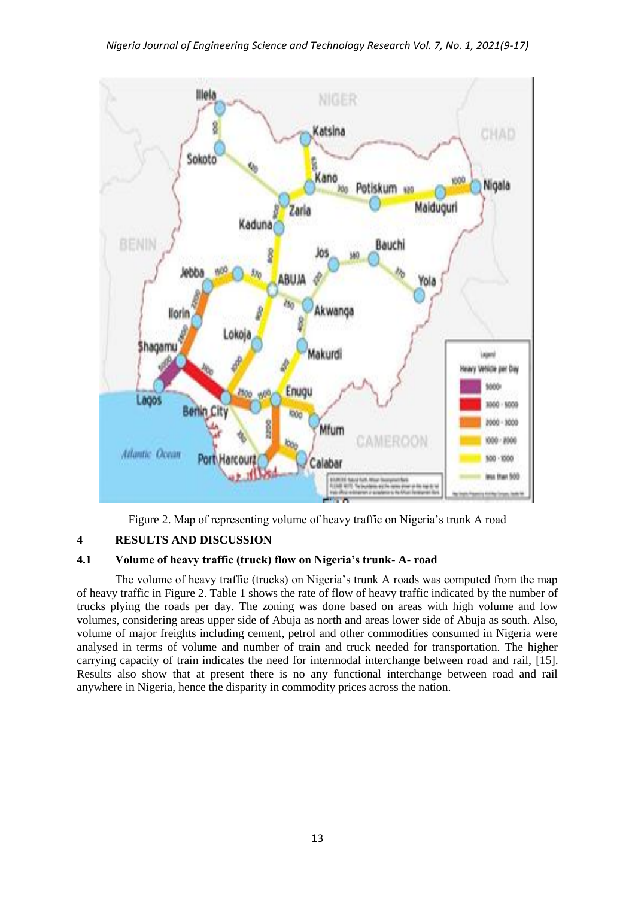

Figure 2. Map of representing volume of heavy traffic on Nigeria's trunk A road

# **4 RESULTS AND DISCUSSION**

## **4.1 Volume of heavy traffic (truck) flow on Nigeria's trunk- A- road**

The volume of heavy traffic (trucks) on Nigeria's trunk A roads was computed from the map of heavy traffic in Figure 2. Table 1 shows the rate of flow of heavy traffic indicated by the number of trucks plying the roads per day. The zoning was done based on areas with high volume and low volumes, considering areas upper side of Abuja as north and areas lower side of Abuja as south. Also, volume of major freights including cement, petrol and other commodities consumed in Nigeria were analysed in terms of volume and number of train and truck needed for transportation. The higher carrying capacity of train indicates the need for intermodal interchange between road and rail, [15]. Results also show that at present there is no any functional interchange between road and rail anywhere in Nigeria, hence the disparity in commodity prices across the nation.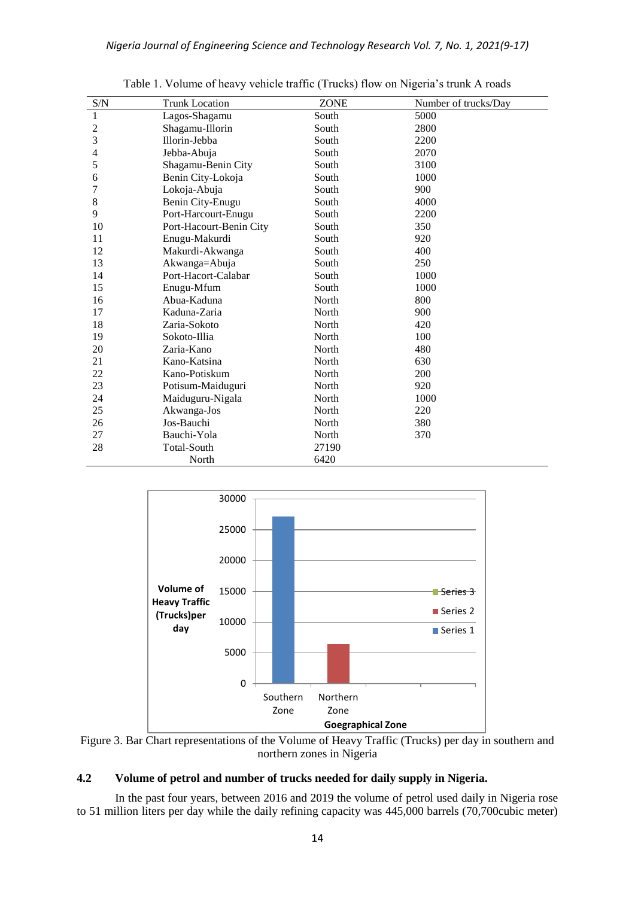| S/N            | <b>Trunk Location</b>   | <b>ZONE</b> | Number of trucks/Day |  |
|----------------|-------------------------|-------------|----------------------|--|
| 1              | Lagos-Shagamu           | South       | 5000                 |  |
| $\overline{c}$ | Shagamu-Illorin         | South       | 2800                 |  |
| 3              | Illorin-Jebba           | South       | 2200                 |  |
| 4              | Jebba-Abuja             | South       | 2070                 |  |
| 5              | Shagamu-Benin City      | South       | 3100                 |  |
| 6              | Benin City-Lokoja       | South       | 1000                 |  |
| 7              | Lokoja-Abuja            | South       | 900                  |  |
| 8              | Benin City-Enugu        | South       | 4000                 |  |
| 9              | Port-Harcourt-Enugu     | South       | 2200                 |  |
| 10             | Port-Hacourt-Benin City | South       | 350                  |  |
| 11             | Enugu-Makurdi           | South       | 920                  |  |
| 12             | Makurdi-Akwanga         | South       | 400                  |  |
| 13             | Akwanga=Abuja           | South       | 250                  |  |
| 14             | Port-Hacort-Calabar     | South       | 1000                 |  |
| 15             | Enugu-Mfum              | South       | 1000                 |  |
| 16             | Abua-Kaduna             | North       | 800                  |  |
| 17             | Kaduna-Zaria            | North       | 900                  |  |
| 18             | Zaria-Sokoto            | North       | 420                  |  |
| 19             | Sokoto-Illia            | North       | 100                  |  |
| 20             | Zaria-Kano              | North       | 480                  |  |
| 21             | Kano-Katsina            | North       | 630                  |  |
| 22             | Kano-Potiskum           | North       | 200                  |  |
| 23             | Potisum-Maiduguri       | North       | 920                  |  |
| 24             | Maiduguru-Nigala        | North       | 1000                 |  |
| 25             | Akwanga-Jos             | North       | 220                  |  |
| 26             | Jos-Bauchi              | North       | 380                  |  |
| 27             | Bauchi-Yola             | North       | 370                  |  |
| 28             | <b>Total-South</b>      | 27190       |                      |  |
|                | North                   | 6420        |                      |  |

Table 1. Volume of heavy vehicle traffic (Trucks) flow on Nigeria's trunk A roads



Figure 3. Bar Chart representations of the Volume of Heavy Traffic (Trucks) per day in southern and northern zones in Nigeria

# **4.2 Volume of petrol and number of trucks needed for daily supply in Nigeria.**

In the past four years, between 2016 and 2019 the volume of petrol used daily in Nigeria rose to 51 million liters per day while the daily refining capacity was 445,000 barrels (70,700cubic meter)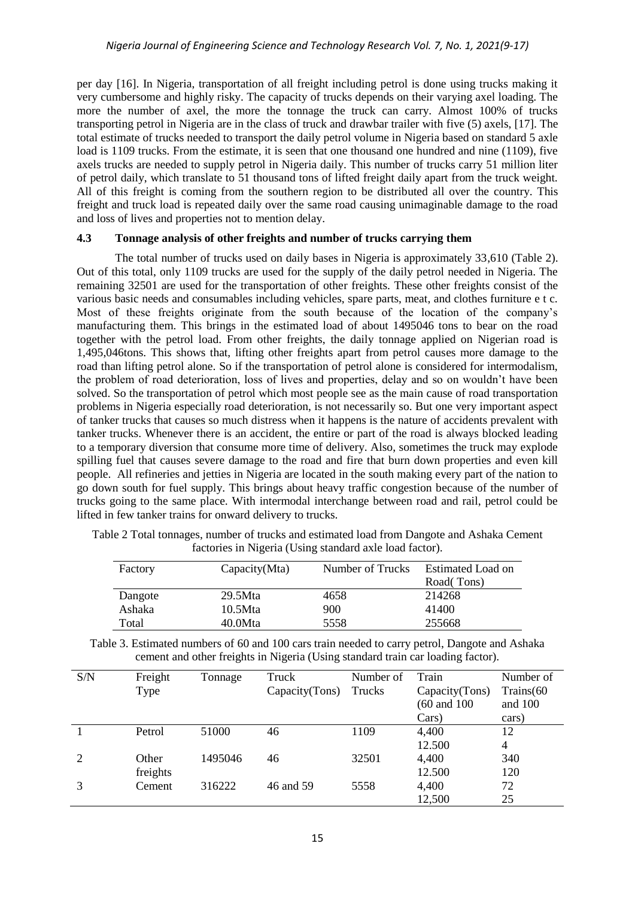per day [16]. In Nigeria, transportation of all freight including petrol is done using trucks making it very cumbersome and highly risky. The capacity of trucks depends on their varying axel loading. The more the number of axel, the more the tonnage the truck can carry. Almost 100% of trucks transporting petrol in Nigeria are in the class of truck and drawbar trailer with five (5) axels, [17]. The total estimate of trucks needed to transport the daily petrol volume in Nigeria based on standard 5 axle load is 1109 trucks. From the estimate, it is seen that one thousand one hundred and nine (1109), five axels trucks are needed to supply petrol in Nigeria daily. This number of trucks carry 51 million liter of petrol daily, which translate to 51 thousand tons of lifted freight daily apart from the truck weight. All of this freight is coming from the southern region to be distributed all over the country. This freight and truck load is repeated daily over the same road causing unimaginable damage to the road and loss of lives and properties not to mention delay.

#### **4.3 Tonnage analysis of other freights and number of trucks carrying them**

The total number of trucks used on daily bases in Nigeria is approximately 33,610 (Table 2). Out of this total, only 1109 trucks are used for the supply of the daily petrol needed in Nigeria. The remaining 32501 are used for the transportation of other freights. These other freights consist of the various basic needs and consumables including vehicles, spare parts, meat, and clothes furniture e t c. Most of these freights originate from the south because of the location of the company's manufacturing them. This brings in the estimated load of about 1495046 tons to bear on the road together with the petrol load. From other freights, the daily tonnage applied on Nigerian road is 1,495,046tons. This shows that, lifting other freights apart from petrol causes more damage to the road than lifting petrol alone. So if the transportation of petrol alone is considered for intermodalism, the problem of road deterioration, loss of lives and properties, delay and so on wouldn't have been solved. So the transportation of petrol which most people see as the main cause of road transportation problems in Nigeria especially road deterioration, is not necessarily so. But one very important aspect of tanker trucks that causes so much distress when it happens is the nature of accidents prevalent with tanker trucks. Whenever there is an accident, the entire or part of the road is always blocked leading to a temporary diversion that consume more time of delivery. Also, sometimes the truck may explode spilling fuel that causes severe damage to the road and fire that burn down properties and even kill people. All refineries and jetties in Nigeria are located in the south making every part of the nation to go down south for fuel supply. This brings about heavy traffic congestion because of the number of trucks going to the same place. With intermodal interchange between road and rail, petrol could be lifted in few tanker trains for onward delivery to trucks.

| Factory | Capacity(Mta) | Number of Trucks | Estimated Load on<br>Road(Tons) |
|---------|---------------|------------------|---------------------------------|
| Dangote | 29.5Mta       | 4658             | 214268                          |
| Ashaka  | 10.5Mta       | 900              | 41400                           |
| Total   | 40.0Mta       | 5558             | 255668                          |

Table 2 Total tonnages, number of trucks and estimated load from Dangote and Ashaka Cement factories in Nigeria (Using standard axle load factor).

Table 3. Estimated numbers of 60 and 100 cars train needed to carry petrol, Dangote and Ashaka cement and other freights in Nigeria (Using standard train car loading factor).

| S/N | Freight  | Tonnage | Truck          | Number of | Train                   | Number of |
|-----|----------|---------|----------------|-----------|-------------------------|-----------|
|     | Type     |         | Capacity(Tons) | Trucks    | Capacity(Tons)          | Trains(60 |
|     |          |         |                |           | $(60 \text{ and } 100)$ | and 100   |
|     |          |         |                |           | Cars)                   | cars)     |
|     | Petrol   | 51000   | 46             | 1109      | 4,400                   | 12        |
|     |          |         |                |           | 12.500                  | 4         |
| 2   | Other    | 1495046 | 46             | 32501     | 4,400                   | 340       |
|     | freights |         |                |           | 12.500                  | 120       |
|     | Cement   | 316222  | 46 and 59      | 5558      | 4,400                   | 72        |
|     |          |         |                |           | 12,500                  | 25        |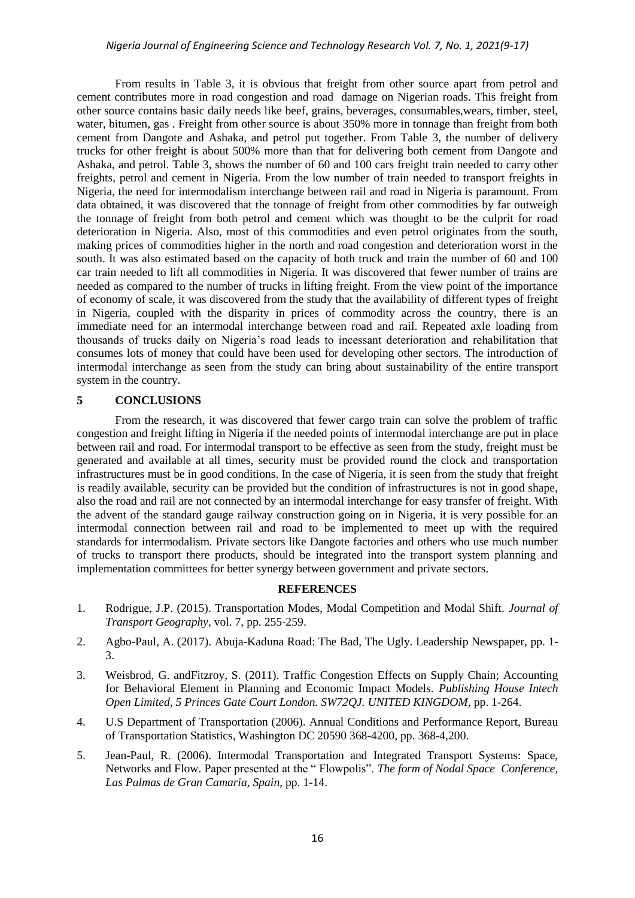#### *Nigeria Journal of Engineering Science and Technology Research Vol. 7, No. 1, 2021(9-17)*

From results in Table 3, it is obvious that freight from other source apart from petrol and cement contributes more in road congestion and road damage on Nigerian roads. This freight from other source contains basic daily needs like beef, grains, beverages, consumables,wears, timber, steel, water, bitumen, gas . Freight from other source is about 350% more in tonnage than freight from both cement from Dangote and Ashaka, and petrol put together. From Table 3, the number of delivery trucks for other freight is about 500% more than that for delivering both cement from Dangote and Ashaka, and petrol. Table 3, shows the number of 60 and 100 cars freight train needed to carry other freights, petrol and cement in Nigeria. From the low number of train needed to transport freights in Nigeria, the need for intermodalism interchange between rail and road in Nigeria is paramount. From data obtained, it was discovered that the tonnage of freight from other commodities by far outweigh the tonnage of freight from both petrol and cement which was thought to be the culprit for road deterioration in Nigeria. Also, most of this commodities and even petrol originates from the south, making prices of commodities higher in the north and road congestion and deterioration worst in the south. It was also estimated based on the capacity of both truck and train the number of 60 and 100 car train needed to lift all commodities in Nigeria. It was discovered that fewer number of trains are needed as compared to the number of trucks in lifting freight. From the view point of the importance of economy of scale, it was discovered from the study that the availability of different types of freight in Nigeria, coupled with the disparity in prices of commodity across the country, there is an immediate need for an intermodal interchange between road and rail. Repeated axle loading from thousands of trucks daily on Nigeria's road leads to incessant deterioration and rehabilitation that consumes lots of money that could have been used for developing other sectors. The introduction of intermodal interchange as seen from the study can bring about sustainability of the entire transport system in the country.

#### **5 CONCLUSIONS**

From the research, it was discovered that fewer cargo train can solve the problem of traffic congestion and freight lifting in Nigeria if the needed points of intermodal interchange are put in place between rail and road. For intermodal transport to be effective as seen from the study, freight must be generated and available at all times, security must be provided round the clock and transportation infrastructures must be in good conditions. In the case of Nigeria, it is seen from the study that freight is readily available, security can be provided but the condition of infrastructures is not in good shape, also the road and rail are not connected by an intermodal interchange for easy transfer of freight. With the advent of the standard gauge railway construction going on in Nigeria, it is very possible for an intermodal connection between rail and road to be implemented to meet up with the required standards for intermodalism. Private sectors like Dangote factories and others who use much number of trucks to transport there products, should be integrated into the transport system planning and implementation committees for better synergy between government and private sectors.

### **REFERENCES**

- 1. Rodrigue, J.P. (2015). Transportation Modes, Modal Competition and Modal Shift. *Journal of Transport Geography*, vol. 7, pp. 255-259.
- 2. Agbo-Paul, A. (2017). [Abuja-Kaduna Road: The Bad, The Ugly.](https://leadership.ng/2017/06/17/abuja-kaduna-road-bad-ugly/) Leadership Newspaper, pp. 1- 3.
- 3. Weisbrod, G. andFitzroy, S. (2011). Traffic Congestion Effects on Supply Chain; Accounting for Behavioral Element in Planning and Economic Impact Models. *Publishing House Intech Open Limited, 5 Princes Gate Court London. SW72QJ. UNITED KINGDOM*, pp. 1-264.
- 4. U.S Department of Transportation (2006). Annual Conditions and Performance Report, Bureau of Transportation Statistics, Washington DC 20590 368-4200, pp. 368-4,200.
- 5. Jean-Paul, R. (2006). Intermodal Transportation and Integrated Transport Systems: Space, Networks and Flow. Paper presented at the " Flowpolis". *The form of Nodal Space Conference, Las Palmas de Gran Camaria, Spain*, pp. 1-14.